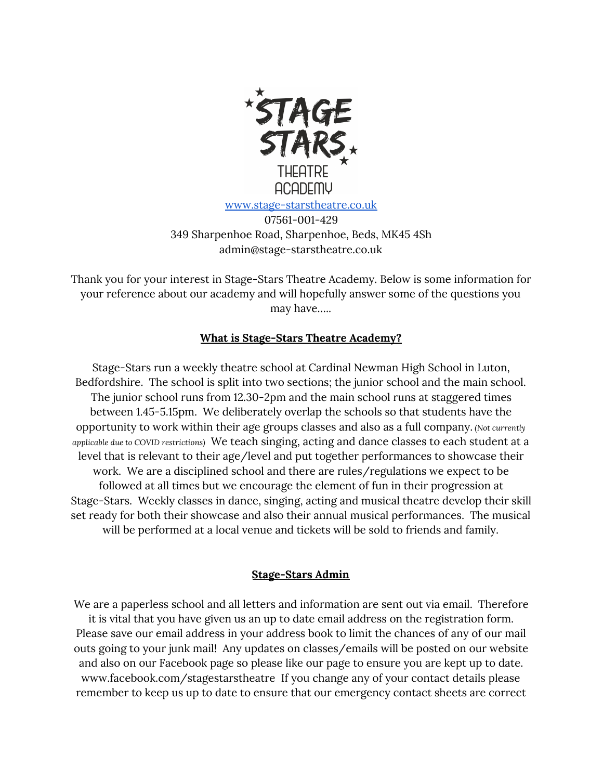

07561-001-429 349 Sharpenhoe Road, Sharpenhoe, Beds, MK45 4Sh admin@stage-starstheatre.co.uk

Thank you for your interest in Stage-Stars Theatre Academy. Below is some information for your reference about our academy and will hopefully answer some of the questions you may have…..

## **What is Stage-Stars Theatre Academy?**

Stage-Stars run a weekly theatre school at Cardinal Newman High School in Luton, Bedfordshire. The school is split into two sections; the junior school and the main school. The junior school runs from 12.30-2pm and the main school runs at staggered times between 1.45-5.15pm. We deliberately overlap the schools so that students have the opportunity to work within their age groups classes and also as a full company. *(Not currently applicable due to COVID restrictions)* We teach singing, acting and dance classes to each student at a level that is relevant to their age/level and put together performances to showcase their work. We are a disciplined school and there are rules/regulations we expect to be followed at all times but we encourage the element of fun in their progression at Stage-Stars. Weekly classes in dance, singing, acting and musical theatre develop their skill set ready for both their showcase and also their annual musical performances. The musical will be performed at a local venue and tickets will be sold to friends and family.

#### **Stage-Stars Admin**

We are a paperless school and all letters and information are sent out via email. Therefore it is vital that you have given us an up to date email address on the registration form. Please save our email address in your address book to limit the chances of any of our mail outs going to your junk mail! Any updates on classes/emails will be posted on our website and also on our Facebook page so please like our page to ensure you are kept up to date. www.facebook.com/stagestarstheatre If you change any of your contact details please remember to keep us up to date to ensure that our emergency contact sheets are correct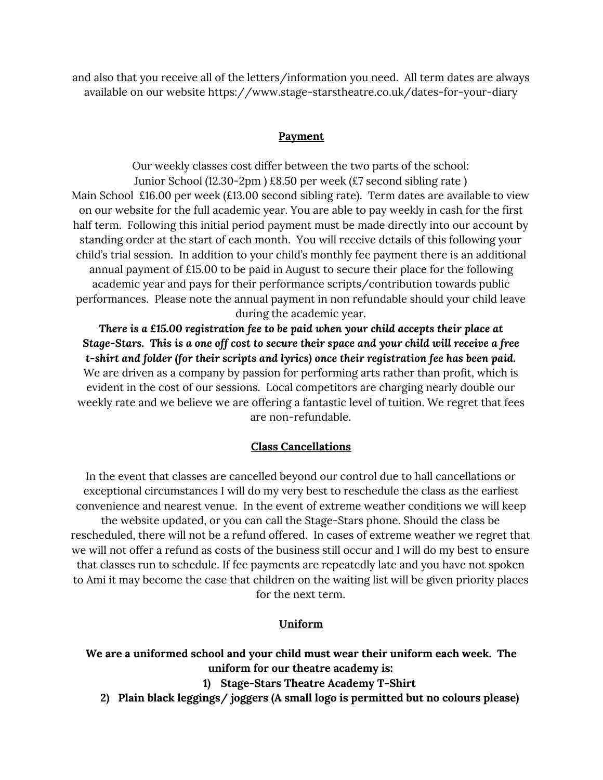and also that you receive all of the letters/information you need. All term dates are always available on our website https://www.stage-starstheatre.co.uk/dates-for-your-diary

### **Payment**

Our weekly classes cost differ between the two parts of the school: Junior School (12.30-2pm ) £8.50 per week (£7 second sibling rate ) Main School £16.00 per week (£13.00 second sibling rate). Term dates are available to view on our website for the full academic year. You are able to pay weekly in cash for the first half term. Following this initial period payment must be made directly into our account by standing order at the start of each month. You will receive details of this following your child's trial session. In addition to your child's monthly fee payment there is an additional annual payment of £15.00 to be paid in August to secure their place for the following academic year and pays for their performance scripts/contribution towards public performances. Please note the annual payment in non refundable should your child leave during the academic year.

*There is a £15.00 registration fee to be paid when your child accepts their place at Stage-Stars. This is a one off cost to secure their space and your child will receive a free t-shirt and folder (for their scripts and lyrics) once their registration fee has been paid.* We are driven as a company by passion for performing arts rather than profit, which is evident in the cost of our sessions. Local competitors are charging nearly double our weekly rate and we believe we are offering a fantastic level of tuition. We regret that fees are non-refundable.

#### **Class Cancellations**

In the event that classes are cancelled beyond our control due to hall cancellations or exceptional circumstances I will do my very best to reschedule the class as the earliest convenience and nearest venue. In the event of extreme weather conditions we will keep the website updated, or you can call the Stage-Stars phone. Should the class be rescheduled, there will not be a refund offered. In cases of extreme weather we regret that we will not offer a refund as costs of the business still occur and I will do my best to ensure that classes run to schedule. If fee payments are repeatedly late and you have not spoken to Ami it may become the case that children on the waiting list will be given priority places for the next term.

#### **Uniform**

# **We are a uniformed school and your child must wear their uniform each week. The uniform for our theatre academy is:**

**1) Stage-Stars Theatre Academy T-Shirt**

**2) Plain black leggings/ joggers (A small logo is permitted but no colours please)**